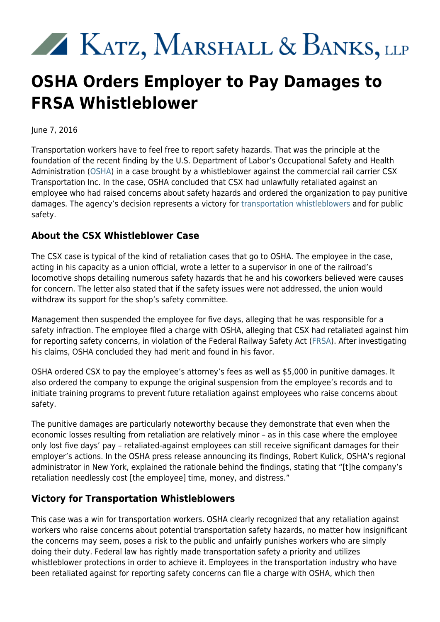## XX KATZ, MARSHALL & BANKS, LLP

## **OSHA Orders Employer to Pay Damages to FRSA Whistleblower**

June 7, 2016

Transportation workers have to feel free to report safety hazards. That was the principle at the foundation of the recent finding by the U.S. Department of Labor's Occupational Safety and Health Administration [\(OSHA](https://www.osha.gov/)) in a case brought by a whistleblower against the commercial rail carrier CSX Transportation Inc. In the case, OSHA concluded that CSX had unlawfully retaliated against an employee who had raised concerns about safety hazards and ordered the organization to pay punitive damages. The agency's decision represents a victory for [transportation whistleblowers](http://www.kmblegal.com/practice-areas/whistleblower-law/transportation-whistleblower) and for public safety.

## **About the CSX Whistleblower Case**

The CSX case is typical of the kind of retaliation cases that go to OSHA. The employee in the case, acting in his capacity as a union official, wrote a letter to a supervisor in one of the railroad's locomotive shops detailing numerous safety hazards that he and his coworkers believed were causes for concern. The letter also stated that if the safety issues were not addressed, the union would withdraw its support for the shop's safety committee.

Management then suspended the employee for five days, alleging that he was responsible for a safety infraction. The employee filed a charge with OSHA, alleging that CSX had retaliated against him for reporting safety concerns, in violation of the Federal Railway Safety Act [\(FRSA](http://www.kmblegal.com/resources/railroad)). After investigating his claims, OSHA concluded they had merit and found in his favor.

OSHA ordered CSX to pay the employee's attorney's fees as well as \$5,000 in punitive damages. It also ordered the company to expunge the original suspension from the employee's records and to initiate training programs to prevent future retaliation against employees who raise concerns about safety.

The punitive damages are particularly noteworthy because they demonstrate that even when the economic losses resulting from retaliation are relatively minor – as in this case where the employee only lost five days' pay – retaliated-against employees can still receive significant damages for their employer's actions. In the OSHA press release announcing its findings, Robert Kulick, OSHA's regional administrator in New York, explained the rationale behind the findings, stating that "[t]he company's retaliation needlessly cost [the employee] time, money, and distress."

## **Victory for Transportation Whistleblowers**

This case was a win for transportation workers. OSHA clearly recognized that any retaliation against workers who raise concerns about potential transportation safety hazards, no matter how insignificant the concerns may seem, poses a risk to the public and unfairly punishes workers who are simply doing their duty. Federal law has rightly made transportation safety a priority and utilizes whistleblower protections in order to achieve it. Employees in the transportation industry who have been retaliated against for reporting safety concerns can file a charge with OSHA, which then